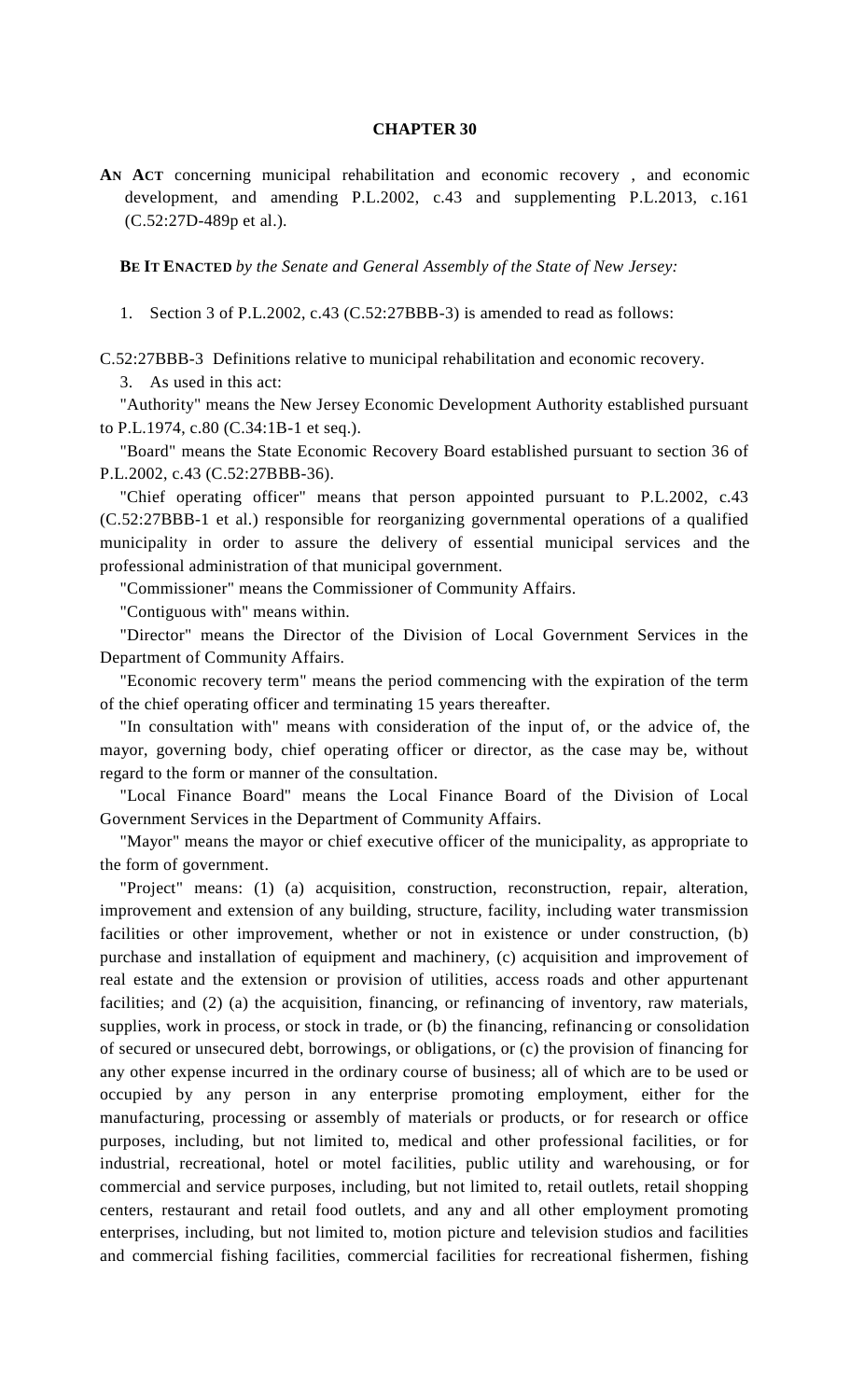## **CHAPTER 30**

**AN ACT** concerning municipal rehabilitation and economic recovery , and economic development, and amending P.L.2002, c.43 and supplementing P.L.2013, c.161 (C.52:27D-489p et al.).

**BE IT ENACTED** *by the Senate and General Assembly of the State of New Jersey:*

1. Section 3 of P.L.2002, c.43 (C.52:27BBB-3) is amended to read as follows:

C.52:27BBB-3 Definitions relative to municipal rehabilitation and economic recovery.

3. As used in this act:

"Authority" means the New Jersey Economic Development Authority established pursuant to P.L.1974, c.80 (C.34:1B-1 et seq.).

"Board" means the State Economic Recovery Board established pursuant to section 36 of P.L.2002, c.43 (C.52:27BBB-36).

"Chief operating officer" means that person appointed pursuant to P.L.2002, c.43 (C.52:27BBB-1 et al.) responsible for reorganizing governmental operations of a qualified municipality in order to assure the delivery of essential municipal services and the professional administration of that municipal government.

"Commissioner" means the Commissioner of Community Affairs.

"Contiguous with" means within.

"Director" means the Director of the Division of Local Government Services in the Department of Community Affairs.

"Economic recovery term" means the period commencing with the expiration of the term of the chief operating officer and terminating 15 years thereafter.

"In consultation with" means with consideration of the input of, or the advice of, the mayor, governing body, chief operating officer or director, as the case may be, without regard to the form or manner of the consultation.

"Local Finance Board" means the Local Finance Board of the Division of Local Government Services in the Department of Community Affairs.

"Mayor" means the mayor or chief executive officer of the municipality, as appropriate to the form of government.

"Project" means: (1) (a) acquisition, construction, reconstruction, repair, alteration, improvement and extension of any building, structure, facility, including water transmission facilities or other improvement, whether or not in existence or under construction, (b) purchase and installation of equipment and machinery, (c) acquisition and improvement of real estate and the extension or provision of utilities, access roads and other appurtenant facilities; and (2) (a) the acquisition, financing, or refinancing of inventory, raw materials, supplies, work in process, or stock in trade, or (b) the financing, refinancing or consolidation of secured or unsecured debt, borrowings, or obligations, or (c) the provision of financing for any other expense incurred in the ordinary course of business; all of which are to be used or occupied by any person in any enterprise promoting employment, either for the manufacturing, processing or assembly of materials or products, or for research or office purposes, including, but not limited to, medical and other professional facilities, or for industrial, recreational, hotel or motel facilities, public utility and warehousing, or for commercial and service purposes, including, but not limited to, retail outlets, retail shopping centers, restaurant and retail food outlets, and any and all other employment promoting enterprises, including, but not limited to, motion picture and television studios and facilities and commercial fishing facilities, commercial facilities for recreational fishermen, fishing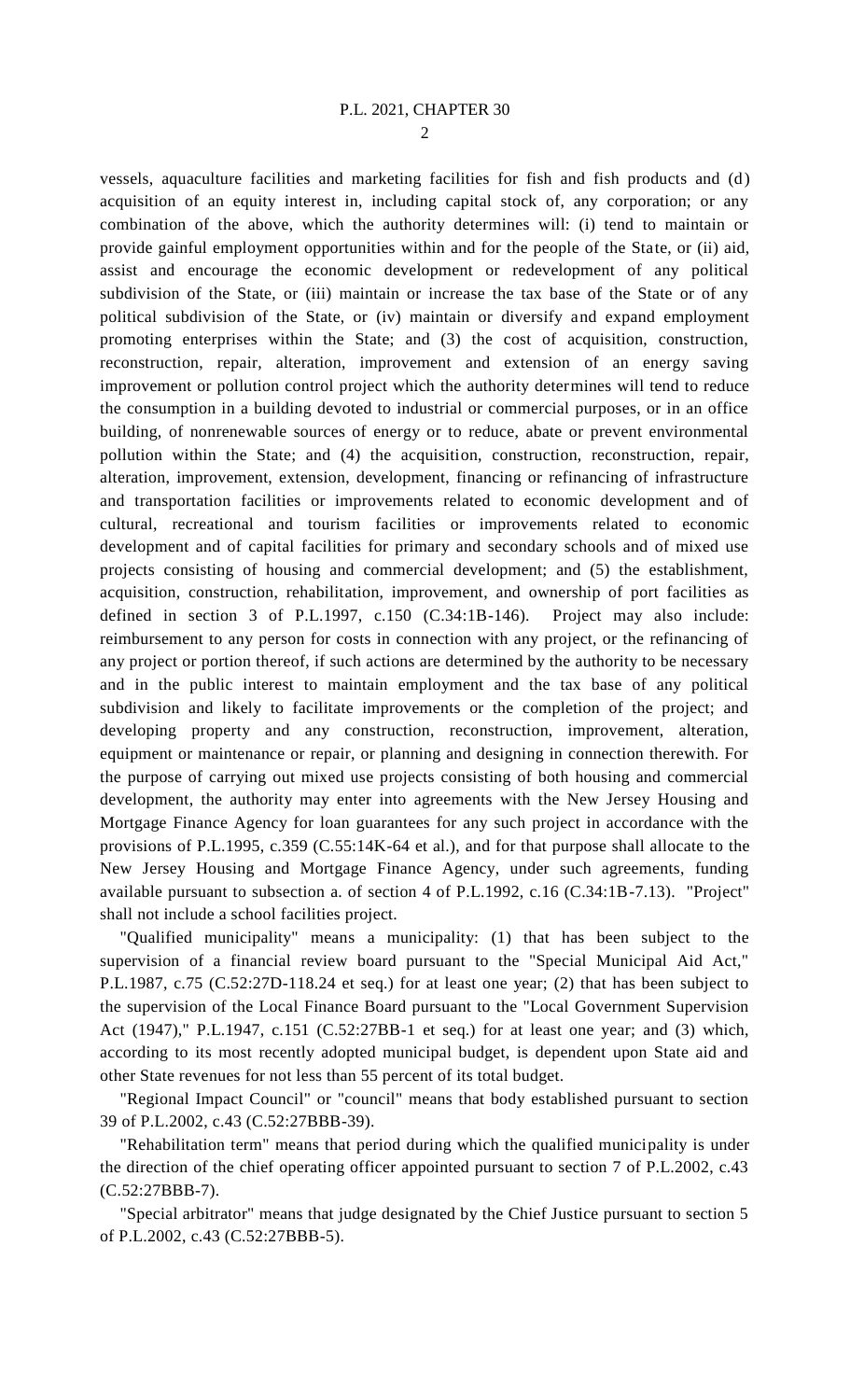$\mathcal{D}_{\mathcal{L}}$ 

vessels, aquaculture facilities and marketing facilities for fish and fish products and (d) acquisition of an equity interest in, including capital stock of, any corporation; or any combination of the above, which the authority determines will: (i) tend to maintain or provide gainful employment opportunities within and for the people of the State, or (ii) aid, assist and encourage the economic development or redevelopment of any political subdivision of the State, or (iii) maintain or increase the tax base of the State or of any political subdivision of the State, or (iv) maintain or diversify and expand employment promoting enterprises within the State; and (3) the cost of acquisition, construction, reconstruction, repair, alteration, improvement and extension of an energy saving improvement or pollution control project which the authority determines will tend to reduce the consumption in a building devoted to industrial or commercial purposes, or in an office building, of nonrenewable sources of energy or to reduce, abate or prevent environmental pollution within the State; and (4) the acquisition, construction, reconstruction, repair, alteration, improvement, extension, development, financing or refinancing of infrastructure and transportation facilities or improvements related to economic development and of cultural, recreational and tourism facilities or improvements related to economic development and of capital facilities for primary and secondary schools and of mixed use projects consisting of housing and commercial development; and (5) the establishment, acquisition, construction, rehabilitation, improvement, and ownership of port facilities as defined in section 3 of P.L.1997, c.150 (C.34:1B-146). Project may also include: reimbursement to any person for costs in connection with any project, or the refinancing of any project or portion thereof, if such actions are determined by the authority to be necessary and in the public interest to maintain employment and the tax base of any political subdivision and likely to facilitate improvements or the completion of the project; and developing property and any construction, reconstruction, improvement, alteration, equipment or maintenance or repair, or planning and designing in connection therewith. For the purpose of carrying out mixed use projects consisting of both housing and commercial development, the authority may enter into agreements with the New Jersey Housing and Mortgage Finance Agency for loan guarantees for any such project in accordance with the provisions of P.L.1995, c.359 (C.55:14K-64 et al.), and for that purpose shall allocate to the New Jersey Housing and Mortgage Finance Agency, under such agreements, funding available pursuant to subsection a. of section 4 of P.L.1992, c.16 (C.34:1B-7.13). "Project" shall not include a school facilities project.

"Qualified municipality" means a municipality: (1) that has been subject to the supervision of a financial review board pursuant to the "Special Municipal Aid Act," P.L.1987, c.75 (C.52:27D-118.24 et seq.) for at least one year; (2) that has been subject to the supervision of the Local Finance Board pursuant to the "Local Government Supervision Act (1947)," P.L.1947, c.151 (C.52:27BB-1 et seq.) for at least one year; and (3) which, according to its most recently adopted municipal budget, is dependent upon State aid and other State revenues for not less than 55 percent of its total budget.

"Regional Impact Council" or "council" means that body established pursuant to section 39 of P.L.2002, c.43 (C.52:27BBB-39).

"Rehabilitation term" means that period during which the qualified municipality is under the direction of the chief operating officer appointed pursuant to section 7 of P.L.2002, c.43 (C.52:27BBB-7).

"Special arbitrator" means that judge designated by the Chief Justice pursuant to section 5 of P.L.2002, c.43 (C.52:27BBB-5).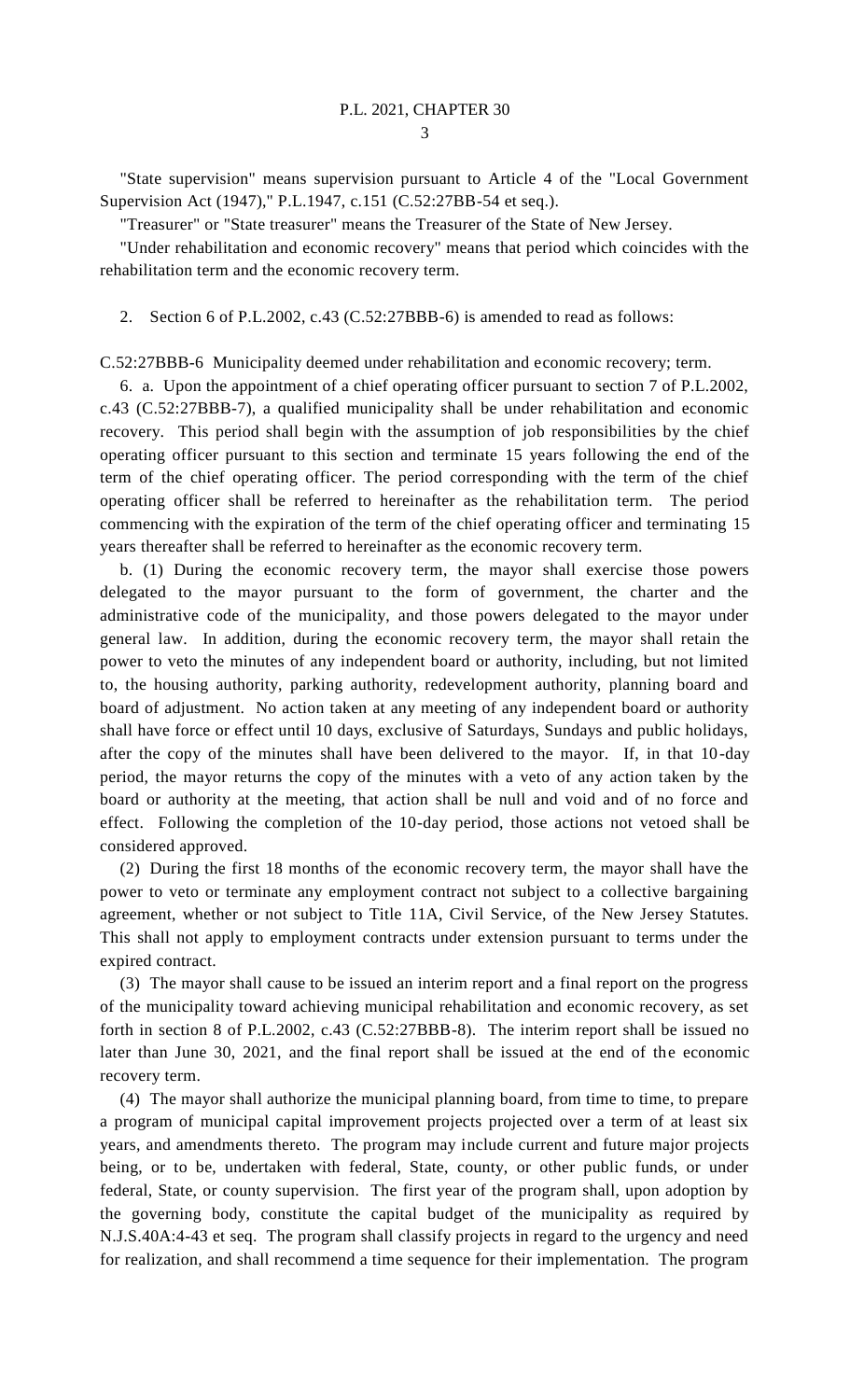3

"State supervision" means supervision pursuant to Article 4 of the "Local Government Supervision Act (1947)," P.L.1947, c.151 (C.52:27BB-54 et seq.).

"Treasurer" or "State treasurer" means the Treasurer of the State of New Jersey.

"Under rehabilitation and economic recovery" means that period which coincides with the rehabilitation term and the economic recovery term.

2. Section 6 of P.L.2002, c.43 (C.52:27BBB-6) is amended to read as follows:

C.52:27BBB-6 Municipality deemed under rehabilitation and economic recovery; term.

6. a. Upon the appointment of a chief operating officer pursuant to section 7 of P.L.2002, c.43 (C.52:27BBB-7), a qualified municipality shall be under rehabilitation and economic recovery. This period shall begin with the assumption of job responsibilities by the chief operating officer pursuant to this section and terminate 15 years following the end of the term of the chief operating officer. The period corresponding with the term of the chief operating officer shall be referred to hereinafter as the rehabilitation term. The period commencing with the expiration of the term of the chief operating officer and terminating 15 years thereafter shall be referred to hereinafter as the economic recovery term.

b. (1) During the economic recovery term, the mayor shall exercise those powers delegated to the mayor pursuant to the form of government, the charter and the administrative code of the municipality, and those powers delegated to the mayor under general law. In addition, during the economic recovery term, the mayor shall retain the power to veto the minutes of any independent board or authority, including, but not limited to, the housing authority, parking authority, redevelopment authority, planning board and board of adjustment. No action taken at any meeting of any independent board or authority shall have force or effect until 10 days, exclusive of Saturdays, Sundays and public holidays, after the copy of the minutes shall have been delivered to the mayor. If, in that 10-day period, the mayor returns the copy of the minutes with a veto of any action taken by the board or authority at the meeting, that action shall be null and void and of no force and effect. Following the completion of the 10-day period, those actions not vetoed shall be considered approved.

(2) During the first 18 months of the economic recovery term, the mayor shall have the power to veto or terminate any employment contract not subject to a collective bargaining agreement, whether or not subject to Title 11A, Civil Service, of the New Jersey Statutes. This shall not apply to employment contracts under extension pursuant to terms under the expired contract.

(3) The mayor shall cause to be issued an interim report and a final report on the progress of the municipality toward achieving municipal rehabilitation and economic recovery, as set forth in section 8 of P.L.2002, c.43 (C.52:27BBB-8). The interim report shall be issued no later than June 30, 2021, and the final report shall be issued at the end of the economic recovery term.

(4) The mayor shall authorize the municipal planning board, from time to time, to prepare a program of municipal capital improvement projects projected over a term of at least six years, and amendments thereto. The program may include current and future major projects being, or to be, undertaken with federal, State, county, or other public funds, or under federal, State, or county supervision. The first year of the program shall, upon adoption by the governing body, constitute the capital budget of the municipality as required by N.J.S.40A:4-43 et seq. The program shall classify projects in regard to the urgency and need for realization, and shall recommend a time sequence for their implementation. The program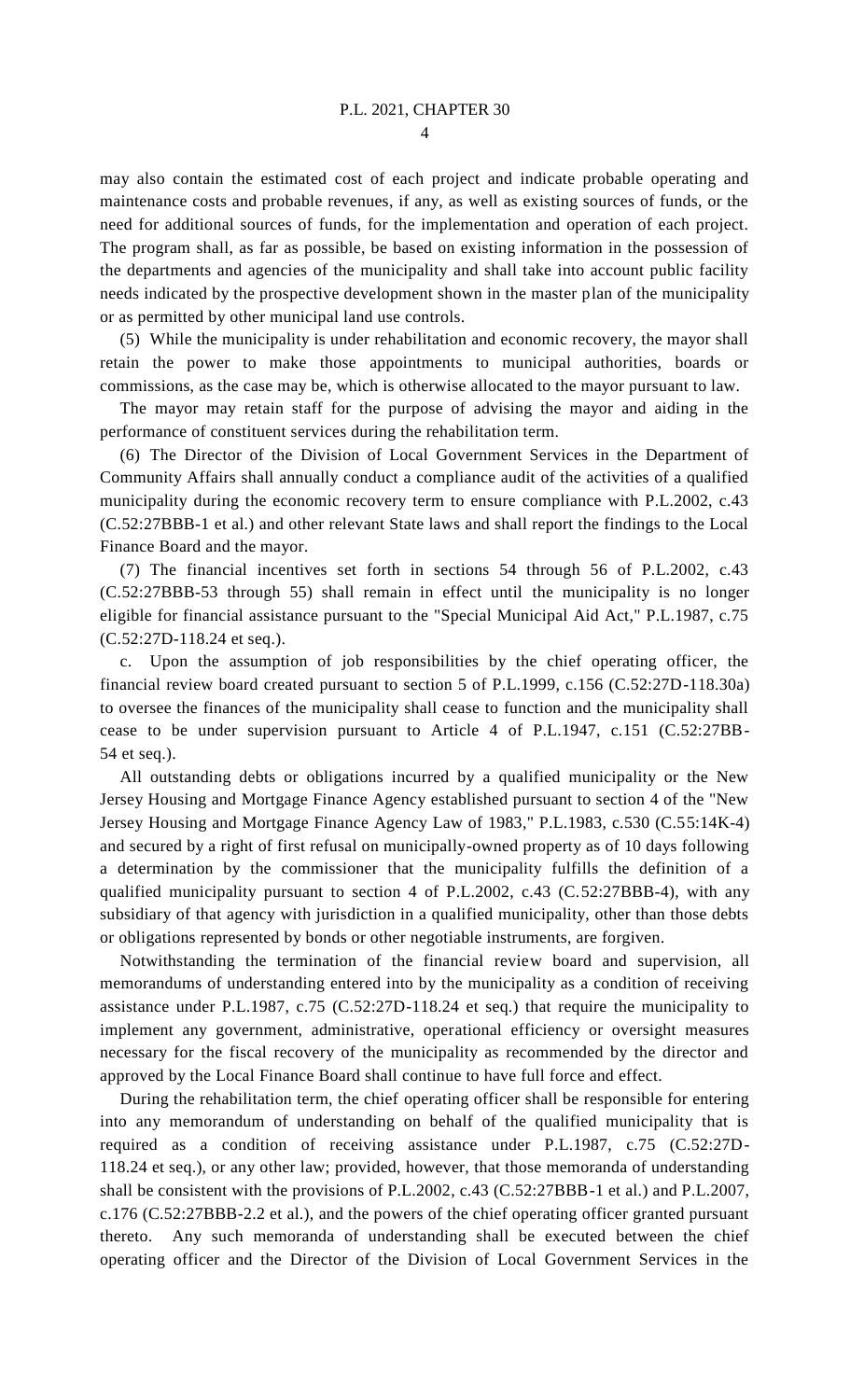may also contain the estimated cost of each project and indicate probable operating and maintenance costs and probable revenues, if any, as well as existing sources of funds, or the need for additional sources of funds, for the implementation and operation of each project. The program shall, as far as possible, be based on existing information in the possession of the departments and agencies of the municipality and shall take into account public facility needs indicated by the prospective development shown in the master plan of the municipality or as permitted by other municipal land use controls.

(5) While the municipality is under rehabilitation and economic recovery, the mayor shall retain the power to make those appointments to municipal authorities, boards or commissions, as the case may be, which is otherwise allocated to the mayor pursuant to law.

The mayor may retain staff for the purpose of advising the mayor and aiding in the performance of constituent services during the rehabilitation term.

(6) The Director of the Division of Local Government Services in the Department of Community Affairs shall annually conduct a compliance audit of the activities of a qualified municipality during the economic recovery term to ensure compliance with P.L.2002, c.43 (C.52:27BBB-1 et al.) and other relevant State laws and shall report the findings to the Local Finance Board and the mayor.

(7) The financial incentives set forth in sections 54 through 56 of P.L.2002, c.43 (C.52:27BBB-53 through 55) shall remain in effect until the municipality is no longer eligible for financial assistance pursuant to the "Special Municipal Aid Act," P.L.1987, c.75 (C.52:27D-118.24 et seq.).

c. Upon the assumption of job responsibilities by the chief operating officer, the financial review board created pursuant to section 5 of P.L.1999, c.156 (C.52:27D-118.30a) to oversee the finances of the municipality shall cease to function and the municipality shall cease to be under supervision pursuant to Article 4 of P.L.1947, c.151 (C.52:27BB-54 et seq.).

All outstanding debts or obligations incurred by a qualified municipality or the New Jersey Housing and Mortgage Finance Agency established pursuant to section 4 of the "New Jersey Housing and Mortgage Finance Agency Law of 1983," P.L.1983, c.530 (C.55:14K-4) and secured by a right of first refusal on municipally-owned property as of 10 days following a determination by the commissioner that the municipality fulfills the definition of a qualified municipality pursuant to section 4 of P.L.2002, c.43 (C.52:27BBB-4), with any subsidiary of that agency with jurisdiction in a qualified municipality, other than those debts or obligations represented by bonds or other negotiable instruments, are forgiven.

Notwithstanding the termination of the financial review board and supervision, all memorandums of understanding entered into by the municipality as a condition of receiving assistance under P.L.1987, c.75 (C.52:27D-118.24 et seq.) that require the municipality to implement any government, administrative, operational efficiency or oversight measures necessary for the fiscal recovery of the municipality as recommended by the director and approved by the Local Finance Board shall continue to have full force and effect.

During the rehabilitation term, the chief operating officer shall be responsible for entering into any memorandum of understanding on behalf of the qualified municipality that is required as a condition of receiving assistance under P.L.1987, c.75 (C.52:27D-118.24 et seq.), or any other law; provided, however, that those memoranda of understanding shall be consistent with the provisions of P.L.2002, c.43 (C.52:27BBB-1 et al.) and P.L.2007, c.176 (C.52:27BBB-2.2 et al.), and the powers of the chief operating officer granted pursuant thereto. Any such memoranda of understanding shall be executed between the chief operating officer and the Director of the Division of Local Government Services in the